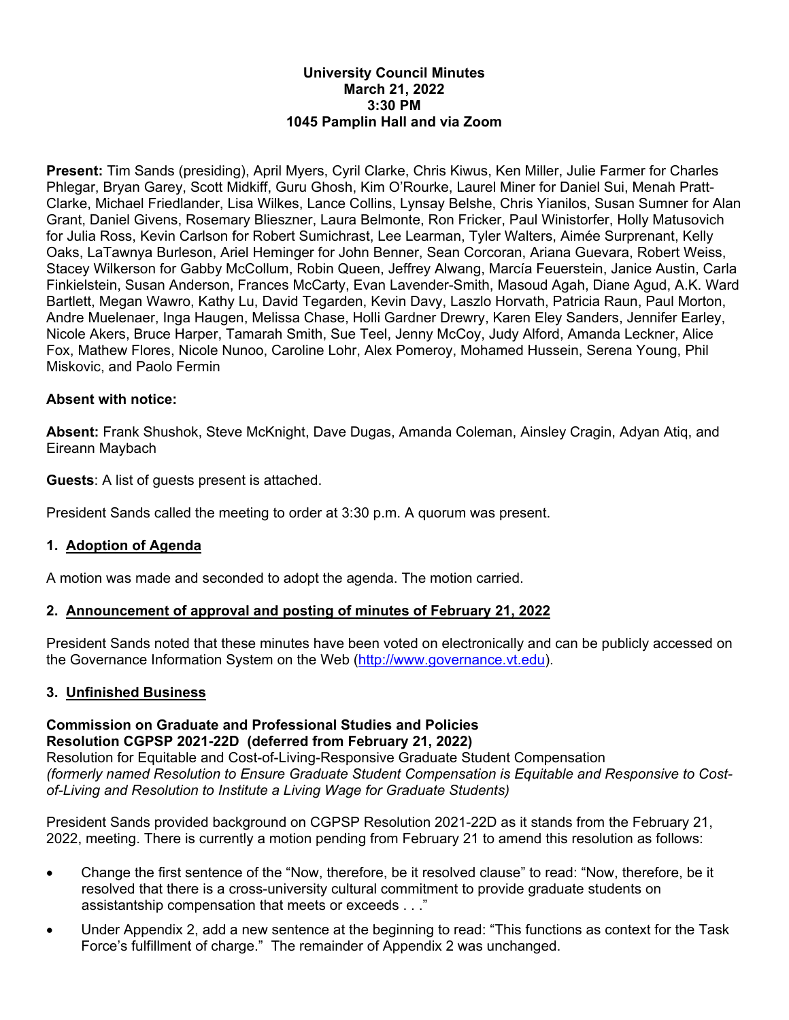#### **University Council Minutes March 21, 2022 3:30 PM 1045 Pamplin Hall and via Zoom**

**Present:** Tim Sands (presiding), April Myers, Cyril Clarke, Chris Kiwus, Ken Miller, Julie Farmer for Charles Phlegar, Bryan Garey, Scott Midkiff, Guru Ghosh, Kim O'Rourke, Laurel Miner for Daniel Sui, Menah Pratt-Clarke, Michael Friedlander, Lisa Wilkes, Lance Collins, Lynsay Belshe, Chris Yianilos, Susan Sumner for Alan Grant, Daniel Givens, Rosemary Blieszner, Laura Belmonte, Ron Fricker, Paul Winistorfer, Holly Matusovich for Julia Ross, Kevin Carlson for Robert Sumichrast, Lee Learman, Tyler Walters, Aimée Surprenant, Kelly Oaks, LaTawnya Burleson, Ariel Heminger for John Benner, Sean Corcoran, Ariana Guevara, Robert Weiss, Stacey Wilkerson for Gabby McCollum, Robin Queen, Jeffrey Alwang, Marcía Feuerstein, Janice Austin, Carla Finkielstein, Susan Anderson, Frances McCarty, Evan Lavender-Smith, Masoud Agah, Diane Agud, A.K. Ward Bartlett, Megan Wawro, Kathy Lu, David Tegarden, Kevin Davy, Laszlo Horvath, Patricia Raun, Paul Morton, Andre Muelenaer, Inga Haugen, Melissa Chase, Holli Gardner Drewry, Karen Eley Sanders, Jennifer Earley, Nicole Akers, Bruce Harper, Tamarah Smith, Sue Teel, Jenny McCoy, Judy Alford, Amanda Leckner, Alice Fox, Mathew Flores, Nicole Nunoo, Caroline Lohr, Alex Pomeroy, Mohamed Hussein, Serena Young, Phil Miskovic, and Paolo Fermin

#### **Absent with notice:**

**Absent:** Frank Shushok, Steve McKnight, Dave Dugas, Amanda Coleman, Ainsley Cragin, Adyan Atiq, and Eireann Maybach

**Guests**: A list of guests present is attached.

President Sands called the meeting to order at 3:30 p.m. A quorum was present.

#### **1. Adoption of Agenda**

A motion was made and seconded to adopt the agenda. The motion carried.

#### **2. Announcement of approval and posting of minutes of February 21, 2022**

President Sands noted that these minutes have been voted on electronically and can be publicly accessed on the Governance Information System on the Web (http://www.governance.vt.edu).

#### **3. Unfinished Business**

#### **Commission on Graduate and Professional Studies and Policies Resolution CGPSP 2021-22D (deferred from February 21, 2022)**

Resolution for Equitable and Cost-of-Living-Responsive Graduate Student Compensation *(formerly named Resolution to Ensure Graduate Student Compensation is Equitable and Responsive to Costof-Living and Resolution to Institute a Living Wage for Graduate Students)* 

President Sands provided background on CGPSP Resolution 2021-22D as it stands from the February 21, 2022, meeting. There is currently a motion pending from February 21 to amend this resolution as follows:

- Change the first sentence of the "Now, therefore, be it resolved clause" to read: "Now, therefore, be it resolved that there is a cross-university cultural commitment to provide graduate students on assistantship compensation that meets or exceeds . . ."
- Under Appendix 2, add a new sentence at the beginning to read: "This functions as context for the Task Force's fulfillment of charge." The remainder of Appendix 2 was unchanged.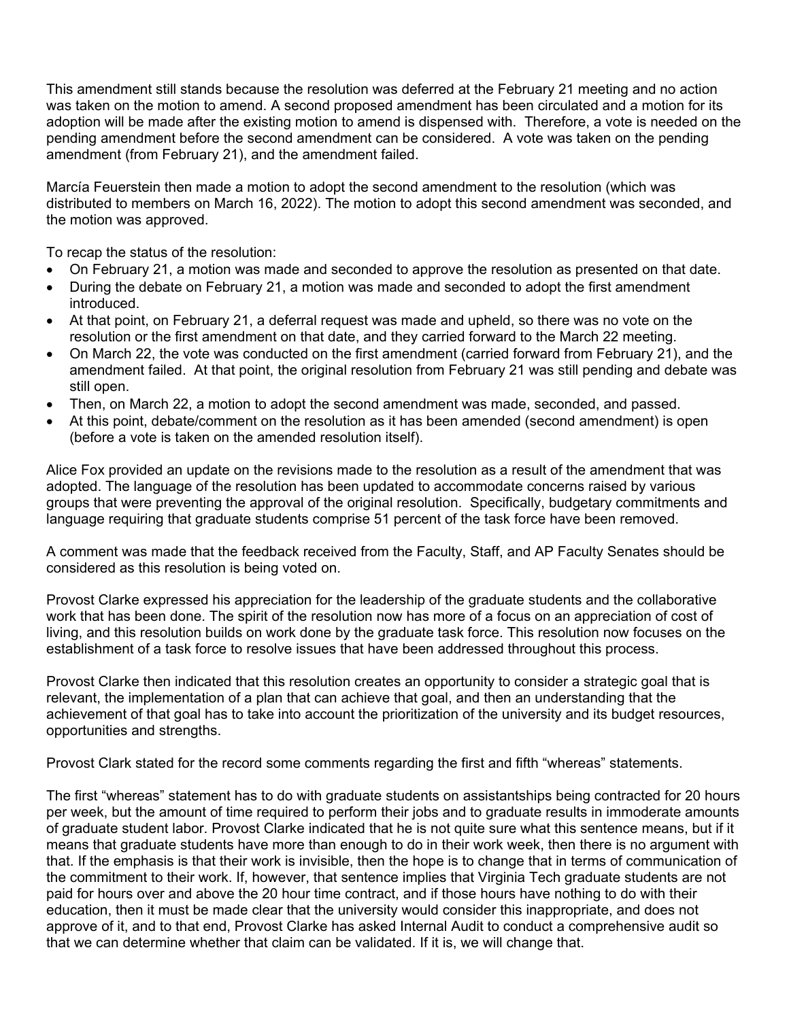This amendment still stands because the resolution was deferred at the February 21 meeting and no action was taken on the motion to amend. A second proposed amendment has been circulated and a motion for its adoption will be made after the existing motion to amend is dispensed with. Therefore, a vote is needed on the pending amendment before the second amendment can be considered. A vote was taken on the pending amendment (from February 21), and the amendment failed.

Marcía Feuerstein then made a motion to adopt the second amendment to the resolution (which was distributed to members on March 16, 2022). The motion to adopt this second amendment was seconded, and the motion was approved.

To recap the status of the resolution:

- On February 21, a motion was made and seconded to approve the resolution as presented on that date.
- During the debate on February 21, a motion was made and seconded to adopt the first amendment introduced.
- At that point, on February 21, a deferral request was made and upheld, so there was no vote on the resolution or the first amendment on that date, and they carried forward to the March 22 meeting.
- On March 22, the vote was conducted on the first amendment (carried forward from February 21), and the amendment failed. At that point, the original resolution from February 21 was still pending and debate was still open.
- Then, on March 22, a motion to adopt the second amendment was made, seconded, and passed.
- At this point, debate/comment on the resolution as it has been amended (second amendment) is open (before a vote is taken on the amended resolution itself).

Alice Fox provided an update on the revisions made to the resolution as a result of the amendment that was adopted. The language of the resolution has been updated to accommodate concerns raised by various groups that were preventing the approval of the original resolution. Specifically, budgetary commitments and language requiring that graduate students comprise 51 percent of the task force have been removed.

A comment was made that the feedback received from the Faculty, Staff, and AP Faculty Senates should be considered as this resolution is being voted on.

Provost Clarke expressed his appreciation for the leadership of the graduate students and the collaborative work that has been done. The spirit of the resolution now has more of a focus on an appreciation of cost of living, and this resolution builds on work done by the graduate task force. This resolution now focuses on the establishment of a task force to resolve issues that have been addressed throughout this process.

Provost Clarke then indicated that this resolution creates an opportunity to consider a strategic goal that is relevant, the implementation of a plan that can achieve that goal, and then an understanding that the achievement of that goal has to take into account the prioritization of the university and its budget resources, opportunities and strengths.

Provost Clark stated for the record some comments regarding the first and fifth "whereas" statements.

The first "whereas" statement has to do with graduate students on assistantships being contracted for 20 hours per week, but the amount of time required to perform their jobs and to graduate results in immoderate amounts of graduate student labor. Provost Clarke indicated that he is not quite sure what this sentence means, but if it means that graduate students have more than enough to do in their work week, then there is no argument with that. If the emphasis is that their work is invisible, then the hope is to change that in terms of communication of the commitment to their work. If, however, that sentence implies that Virginia Tech graduate students are not paid for hours over and above the 20 hour time contract, and if those hours have nothing to do with their education, then it must be made clear that the university would consider this inappropriate, and does not approve of it, and to that end, Provost Clarke has asked Internal Audit to conduct a comprehensive audit so that we can determine whether that claim can be validated. If it is, we will change that.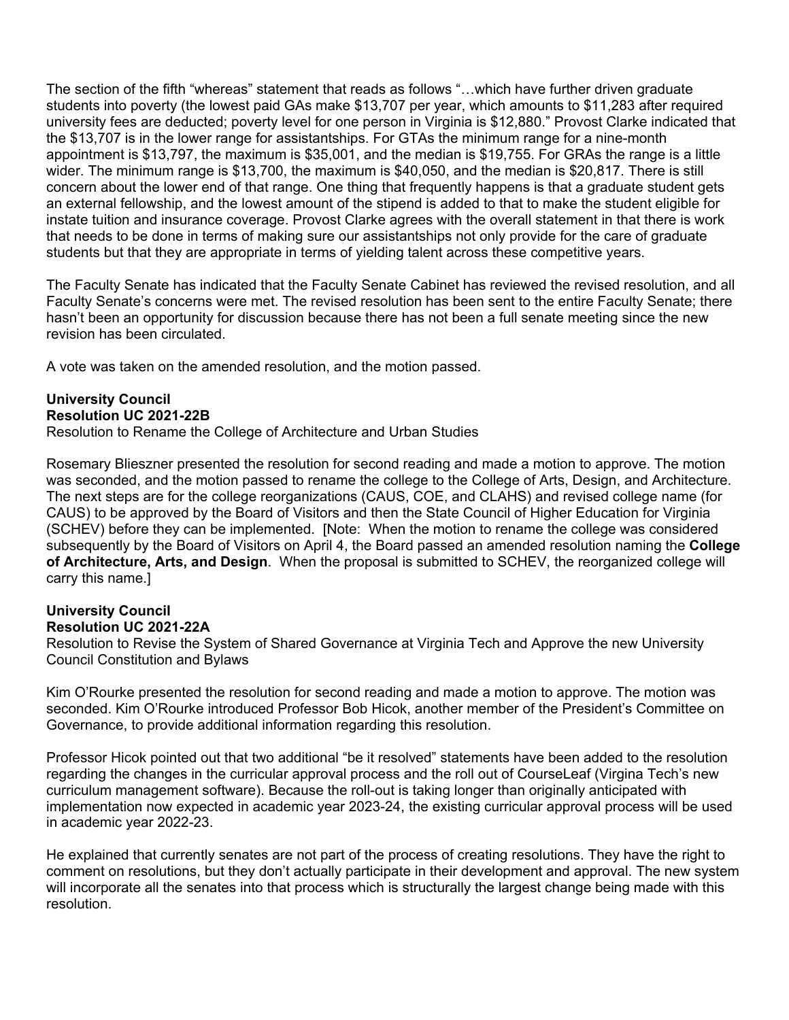The section of the fifth "whereas" statement that reads as follows "…which have further driven graduate students into poverty (the lowest paid GAs make \$13,707 per year, which amounts to \$11,283 after required university fees are deducted; poverty level for one person in Virginia is \$12,880." Provost Clarke indicated that the \$13,707 is in the lower range for assistantships. For GTAs the minimum range for a nine-month appointment is \$13,797, the maximum is \$35,001, and the median is \$19,755. For GRAs the range is a little wider. The minimum range is \$13,700, the maximum is \$40,050, and the median is \$20,817. There is still concern about the lower end of that range. One thing that frequently happens is that a graduate student gets an external fellowship, and the lowest amount of the stipend is added to that to make the student eligible for instate tuition and insurance coverage. Provost Clarke agrees with the overall statement in that there is work that needs to be done in terms of making sure our assistantships not only provide for the care of graduate students but that they are appropriate in terms of yielding talent across these competitive years.

The Faculty Senate has indicated that the Faculty Senate Cabinet has reviewed the revised resolution, and all Faculty Senate's concerns were met. The revised resolution has been sent to the entire Faculty Senate; there hasn't been an opportunity for discussion because there has not been a full senate meeting since the new revision has been circulated.

A vote was taken on the amended resolution, and the motion passed.

#### **University Council Resolution UC 2021-22B**

Resolution to Rename the College of Architecture and Urban Studies

Rosemary Blieszner presented the resolution for second reading and made a motion to approve. The motion was seconded, and the motion passed to rename the college to the College of Arts, Design, and Architecture. The next steps are for the college reorganizations (CAUS, COE, and CLAHS) and revised college name (for CAUS) to be approved by the Board of Visitors and then the State Council of Higher Education for Virginia (SCHEV) before they can be implemented. [Note: When the motion to rename the college was considered subsequently by the Board of Visitors on April 4, the Board passed an amended resolution naming the **College of Architecture, Arts, and Design**. When the proposal is submitted to SCHEV, the reorganized college will carry this name.]

#### **University Council Resolution UC 2021-22A**

Resolution to Revise the System of Shared Governance at Virginia Tech and Approve the new University Council Constitution and Bylaws

Kim O'Rourke presented the resolution for second reading and made a motion to approve. The motion was seconded. Kim O'Rourke introduced Professor Bob Hicok, another member of the President's Committee on Governance, to provide additional information regarding this resolution.

Professor Hicok pointed out that two additional "be it resolved" statements have been added to the resolution regarding the changes in the curricular approval process and the roll out of CourseLeaf (Virgina Tech's new curriculum management software). Because the roll-out is taking longer than originally anticipated with implementation now expected in academic year 2023-24, the existing curricular approval process will be used in academic year 2022-23.

He explained that currently senates are not part of the process of creating resolutions. They have the right to comment on resolutions, but they don't actually participate in their development and approval. The new system will incorporate all the senates into that process which is structurally the largest change being made with this resolution.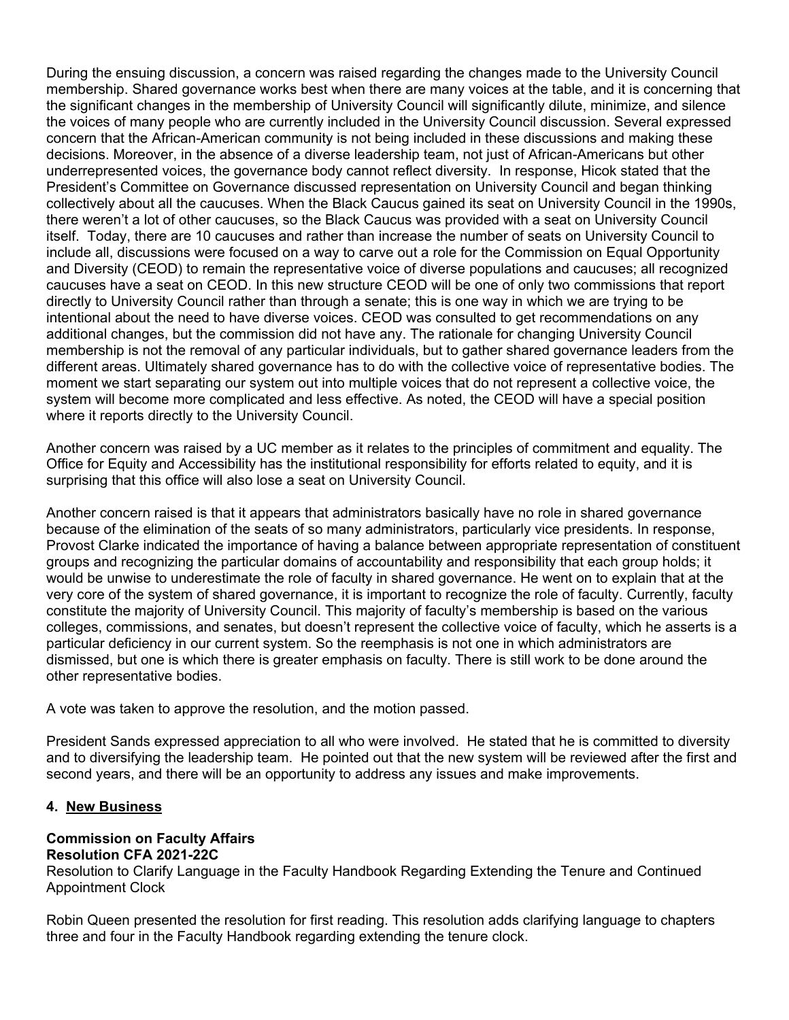During the ensuing discussion, a concern was raised regarding the changes made to the University Council membership. Shared governance works best when there are many voices at the table, and it is concerning that the significant changes in the membership of University Council will significantly dilute, minimize, and silence the voices of many people who are currently included in the University Council discussion. Several expressed concern that the African-American community is not being included in these discussions and making these decisions. Moreover, in the absence of a diverse leadership team, not just of African-Americans but other underrepresented voices, the governance body cannot reflect diversity. In response, Hicok stated that the President's Committee on Governance discussed representation on University Council and began thinking collectively about all the caucuses. When the Black Caucus gained its seat on University Council in the 1990s, there weren't a lot of other caucuses, so the Black Caucus was provided with a seat on University Council itself. Today, there are 10 caucuses and rather than increase the number of seats on University Council to include all, discussions were focused on a way to carve out a role for the Commission on Equal Opportunity and Diversity (CEOD) to remain the representative voice of diverse populations and caucuses; all recognized caucuses have a seat on CEOD. In this new structure CEOD will be one of only two commissions that report directly to University Council rather than through a senate; this is one way in which we are trying to be intentional about the need to have diverse voices. CEOD was consulted to get recommendations on any additional changes, but the commission did not have any. The rationale for changing University Council membership is not the removal of any particular individuals, but to gather shared governance leaders from the different areas. Ultimately shared governance has to do with the collective voice of representative bodies. The moment we start separating our system out into multiple voices that do not represent a collective voice, the system will become more complicated and less effective. As noted, the CEOD will have a special position where it reports directly to the University Council.

Another concern was raised by a UC member as it relates to the principles of commitment and equality. The Office for Equity and Accessibility has the institutional responsibility for efforts related to equity, and it is surprising that this office will also lose a seat on University Council.

Another concern raised is that it appears that administrators basically have no role in shared governance because of the elimination of the seats of so many administrators, particularly vice presidents. In response, Provost Clarke indicated the importance of having a balance between appropriate representation of constituent groups and recognizing the particular domains of accountability and responsibility that each group holds; it would be unwise to underestimate the role of faculty in shared governance. He went on to explain that at the very core of the system of shared governance, it is important to recognize the role of faculty. Currently, faculty constitute the majority of University Council. This majority of faculty's membership is based on the various colleges, commissions, and senates, but doesn't represent the collective voice of faculty, which he asserts is a particular deficiency in our current system. So the reemphasis is not one in which administrators are dismissed, but one is which there is greater emphasis on faculty. There is still work to be done around the other representative bodies.

A vote was taken to approve the resolution, and the motion passed.

President Sands expressed appreciation to all who were involved. He stated that he is committed to diversity and to diversifying the leadership team. He pointed out that the new system will be reviewed after the first and second years, and there will be an opportunity to address any issues and make improvements.

#### **4. New Business**

#### **Commission on Faculty Affairs Resolution CFA 2021-22C**

Resolution to Clarify Language in the Faculty Handbook Regarding Extending the Tenure and Continued Appointment Clock

Robin Queen presented the resolution for first reading. This resolution adds clarifying language to chapters three and four in the Faculty Handbook regarding extending the tenure clock.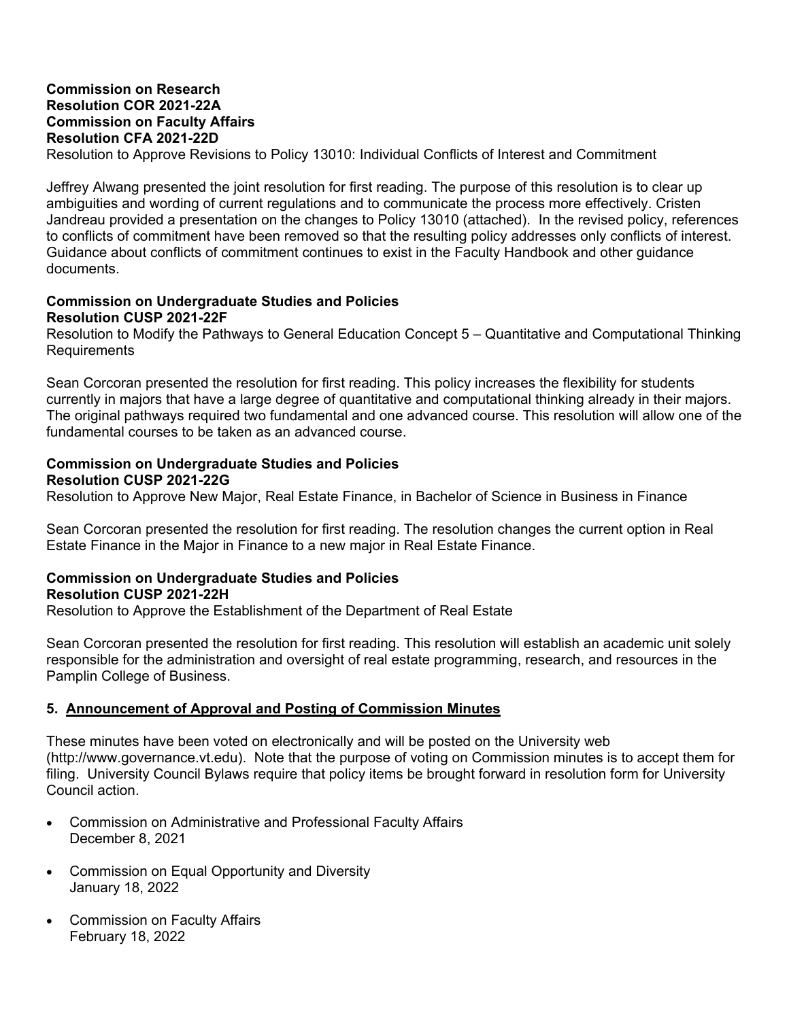#### **Commission on Research Resolution COR 2021-22A Commission on Faculty Affairs Resolution CFA 2021-22D**

Resolution to Approve Revisions to Policy 13010: Individual Conflicts of Interest and Commitment

Jeffrey Alwang presented the joint resolution for first reading. The purpose of this resolution is to clear up ambiguities and wording of current regulations and to communicate the process more effectively. Cristen Jandreau provided a presentation on the changes to Policy 13010 (attached). In the revised policy, references to conflicts of commitment have been removed so that the resulting policy addresses only conflicts of interest. Guidance about conflicts of commitment continues to exist in the Faculty Handbook and other guidance documents.

#### **Commission on Undergraduate Studies and Policies Resolution CUSP 2021-22F**

Resolution to Modify the Pathways to General Education Concept 5 – Quantitative and Computational Thinking Requirements

Sean Corcoran presented the resolution for first reading. This policy increases the flexibility for students currently in majors that have a large degree of quantitative and computational thinking already in their majors. The original pathways required two fundamental and one advanced course. This resolution will allow one of the fundamental courses to be taken as an advanced course.

#### **Commission on Undergraduate Studies and Policies Resolution CUSP 2021-22G**

Resolution to Approve New Major, Real Estate Finance, in Bachelor of Science in Business in Finance

Sean Corcoran presented the resolution for first reading. The resolution changes the current option in Real Estate Finance in the Major in Finance to a new major in Real Estate Finance.

#### **Commission on Undergraduate Studies and Policies Resolution CUSP 2021-22H**

Resolution to Approve the Establishment of the Department of Real Estate

Sean Corcoran presented the resolution for first reading. This resolution will establish an academic unit solely responsible for the administration and oversight of real estate programming, research, and resources in the Pamplin College of Business.

#### **5. Announcement of Approval and Posting of Commission Minutes**

These minutes have been voted on electronically and will be posted on the University web (http://www.governance.vt.edu). Note that the purpose of voting on Commission minutes is to accept them for filing. University Council Bylaws require that policy items be brought forward in resolution form for University Council action.

- Commission on Administrative and Professional Faculty Affairs December 8, 2021
- Commission on Equal Opportunity and Diversity January 18, 2022
- Commission on Faculty Affairs February 18, 2022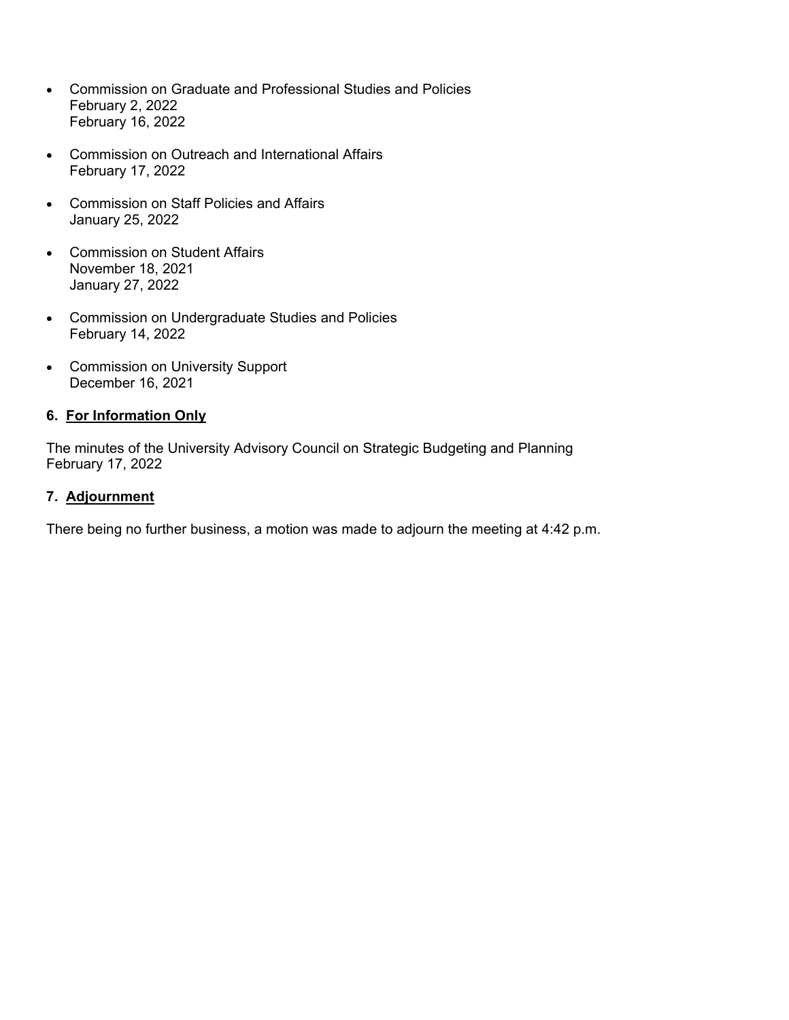- Commission on Graduate and Professional Studies and Policies February 2, 2022 February 16, 2022
- Commission on Outreach and International Affairs February 17, 2022
- Commission on Staff Policies and Affairs January 25, 2022
- Commission on Student Affairs November 18, 2021 January 27, 2022
- Commission on Undergraduate Studies and Policies February 14, 2022
- Commission on University Support December 16, 2021

#### **6. For Information Only**

The minutes of the University Advisory Council on Strategic Budgeting and Planning February 17, 2022

#### **7. Adjournment**

There being no further business, a motion was made to adjourn the meeting at 4:42 p.m.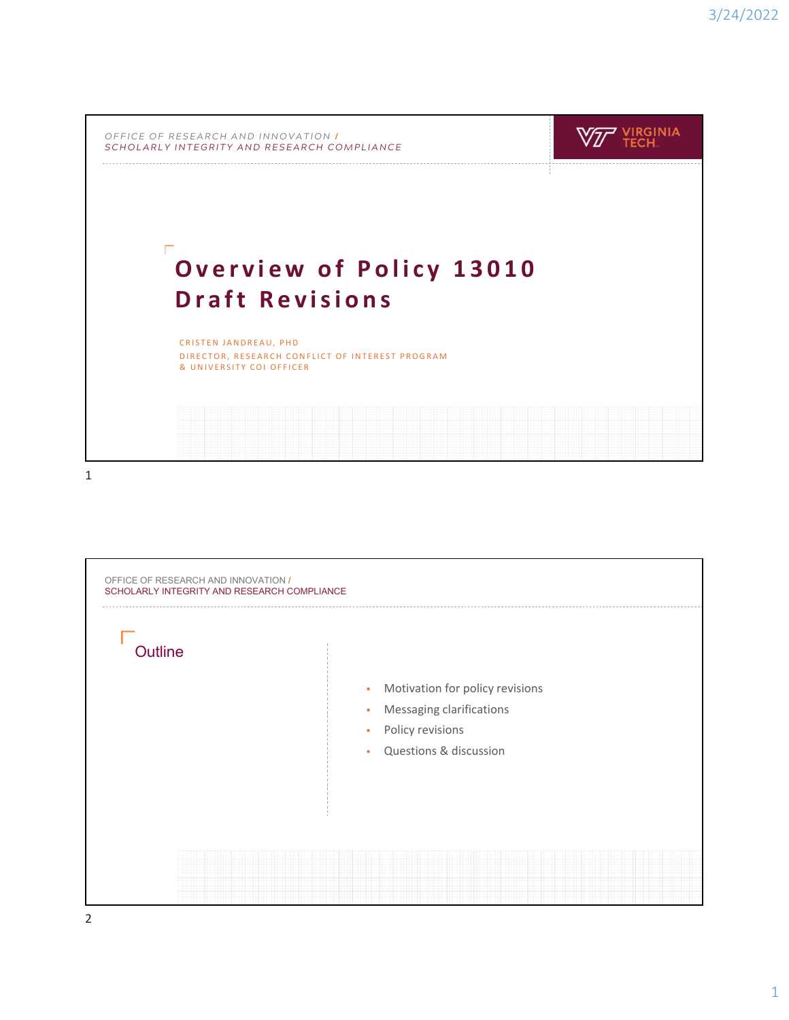| OFFICE OF RESEARCH AND INNOVATION I<br>SCHOLARLY INTEGRITY AND RESEARCH COMPLIANCE |                                                 |  |
|------------------------------------------------------------------------------------|-------------------------------------------------|--|
|                                                                                    | <b>Overview of Policy 13010</b>                 |  |
| <b>Draft Revisions</b><br>CRISTEN JANDREAU, PHD                                    | DIRECTOR, RESEARCH CONFLICT OF INTEREST PROGRAM |  |

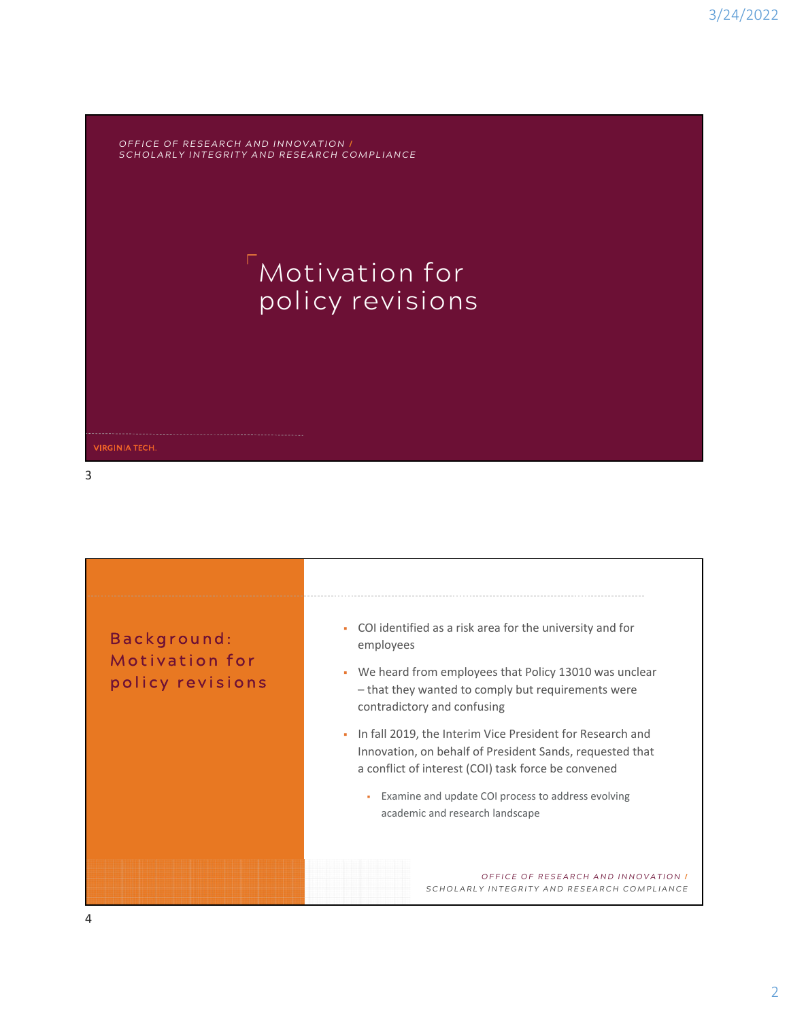*OFFICE OF RESEARCH AND INNOVATION* **/** *SCHOLARLY INTEGRITY AND RESEARCH COMPLIANCE*

## Motivation for policy revisions

3

**VIRGINIA TECH.** 

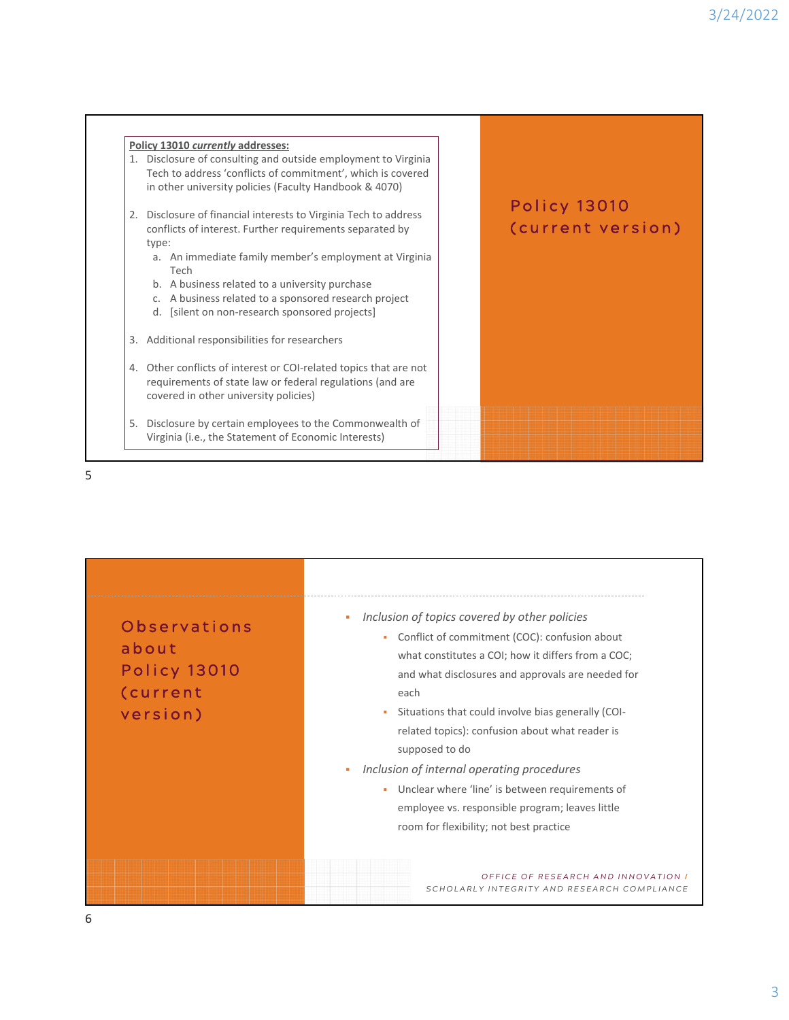



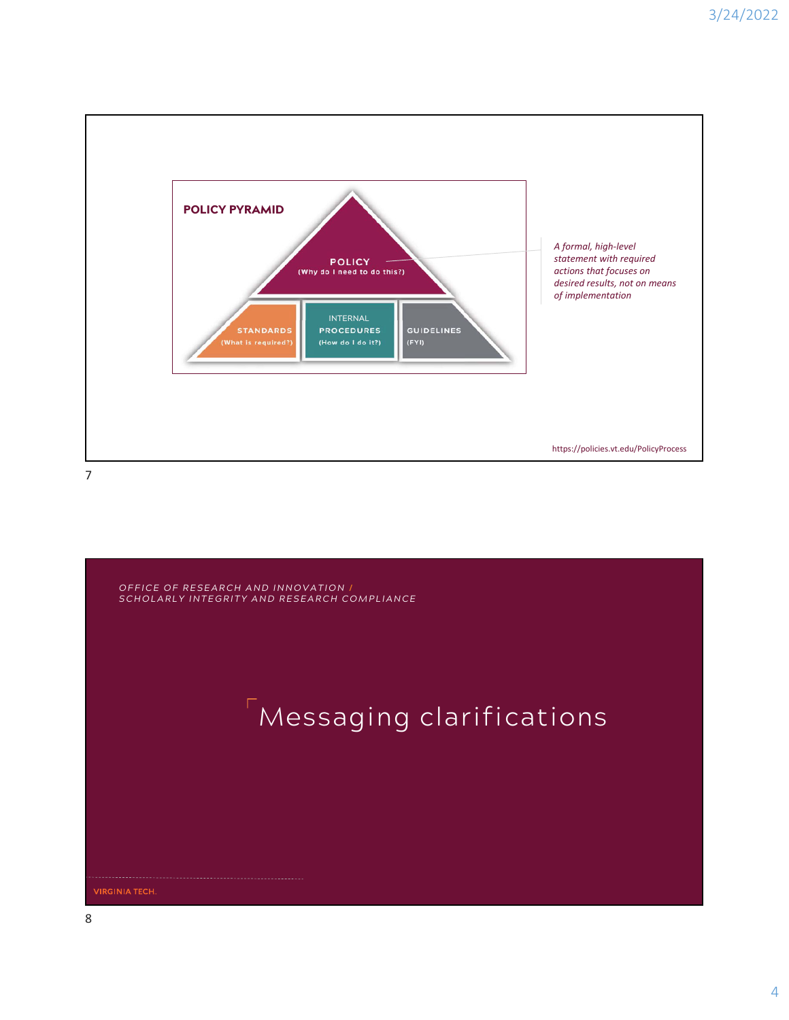

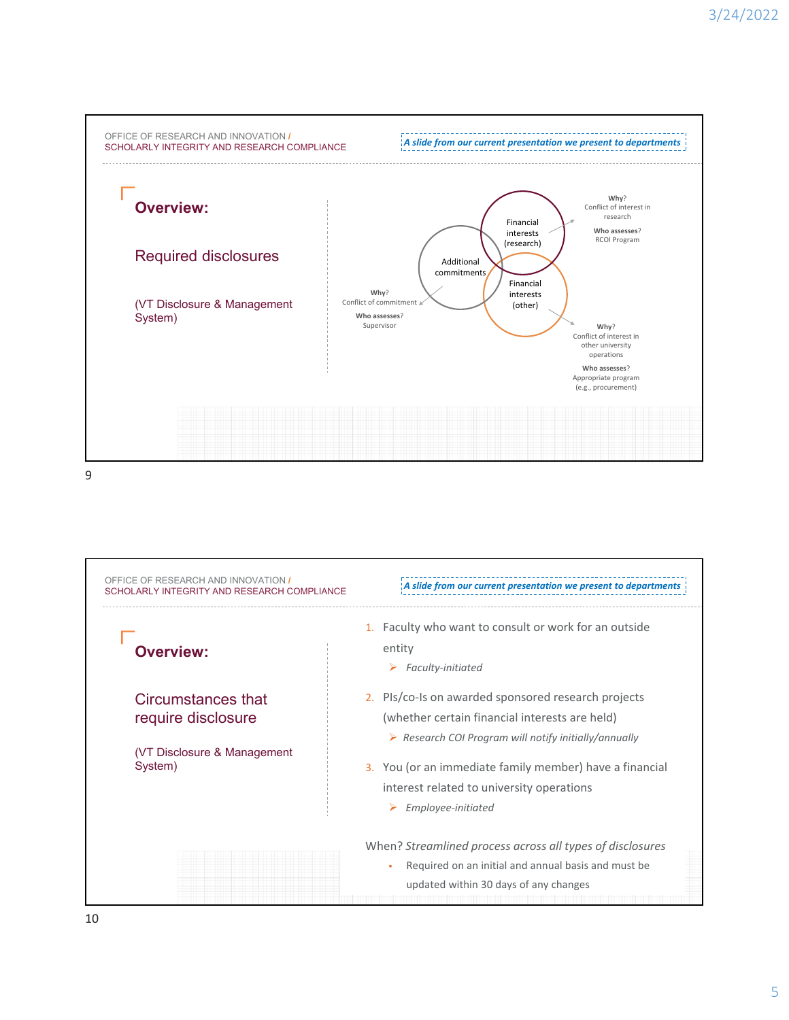

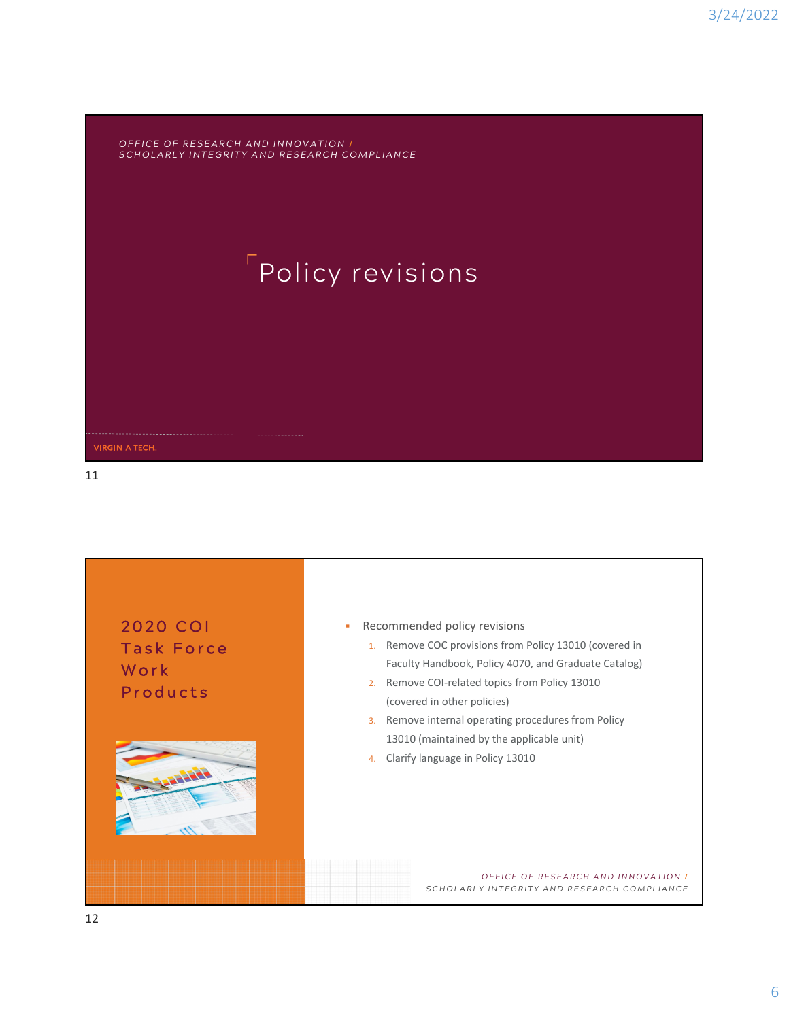*OFFICE OF RESEARCH AND INNOVATION* **/** *SCHOLARLY INTEGRITY AND RESEARCH COMPLIANCE*

# **Policy revisions**

11

**VIRGINIA TECH.** 

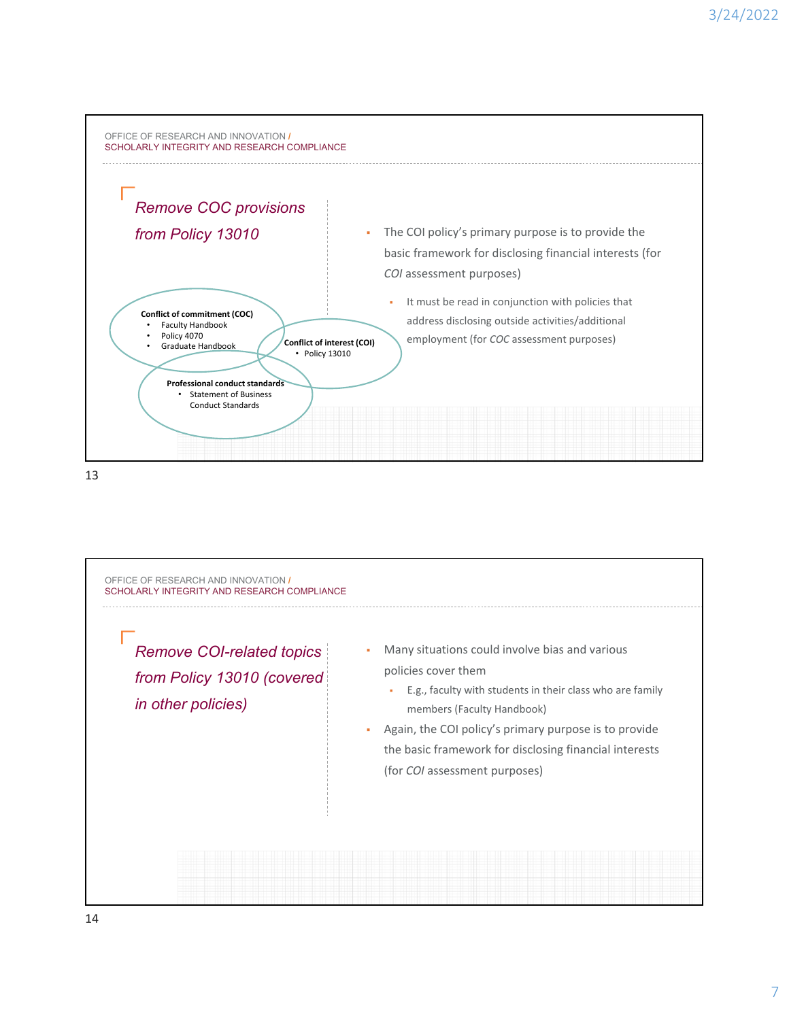

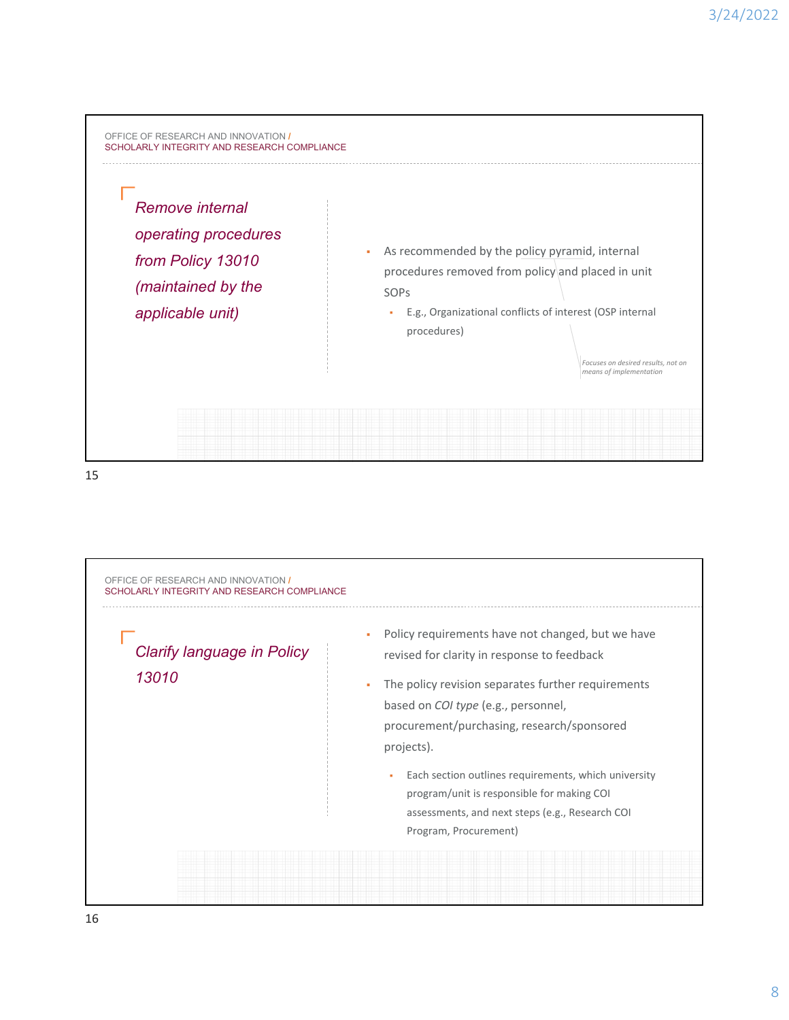

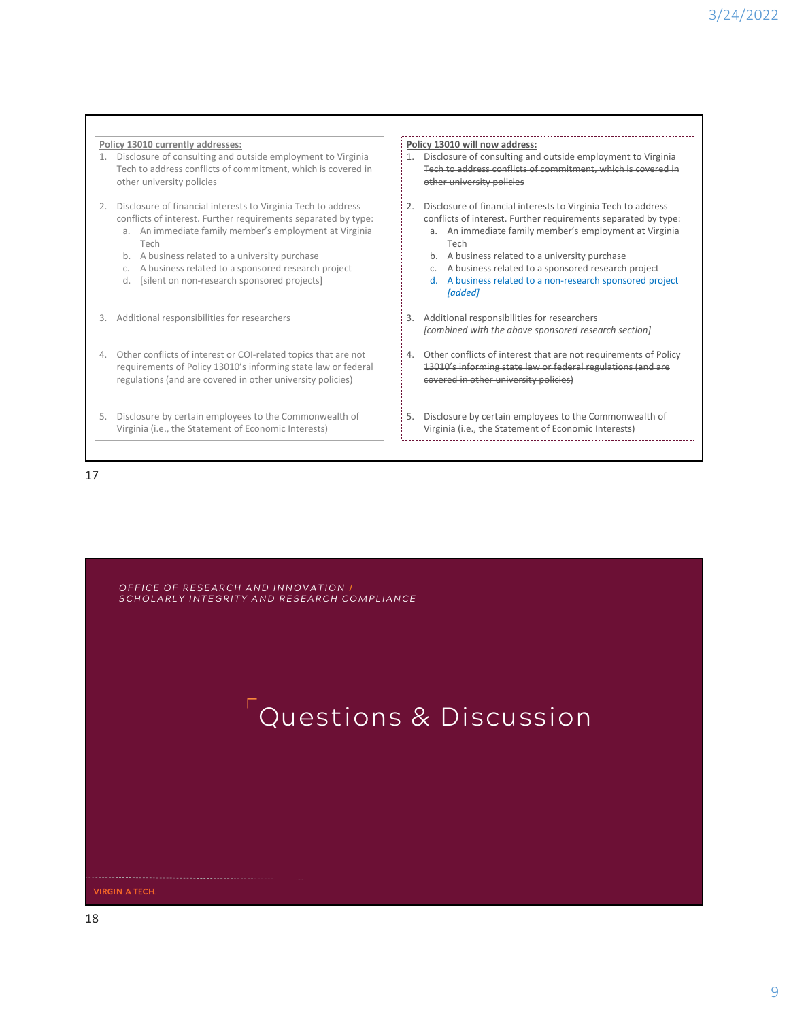#### **Policy 13010 currently addresses: Policy 13010 will now address:** 1. Disclosure of consulting and outside employment to Virginia 1. Disclosure of consulting and outside employment to Virginia Tech to address conflicts of commitment, which is covered in Tech to address conflicts of commitment, which is covered in other university policies other university policies 2. Disclosure of financial interests to Virginia Tech to address 2. Disclosure of financial interests to Virginia Tech to address conflicts of interest. Further requirements separated by type: conflicts of interest. Further requirements separated by type: a. An immediate family member's employment at Virginia a. An immediate family member's employment at Virginia Tech Tech b. A business related to a university purchase b. A business related to a university purchase c. A business related to a sponsored research project c. A business related to a sponsored research project d. [silent on non‐research sponsored projects] d. A business related to a non‐research sponsored project *[added]* 3. Additional responsibilities for researchers 3. Additional responsibilities for researchers *[combined with the above sponsored research section]* 4. Other conflicts of interest or COI‐related topics that are not 4. Other conflicts of interest that are not requirements of Policy requirements of Policy 13010's informing state law or federal 13010's informing state law or federal regulations (and are regulations (and are covered in other university policies) covered in other university policies) 5. Disclosure by certain employees to the Commonwealth of 5. Disclosure by certain employees to the Commonwealth of Virginia (i.e., the Statement of Economic Interests) Virginia (i.e., the Statement of Economic Interests)

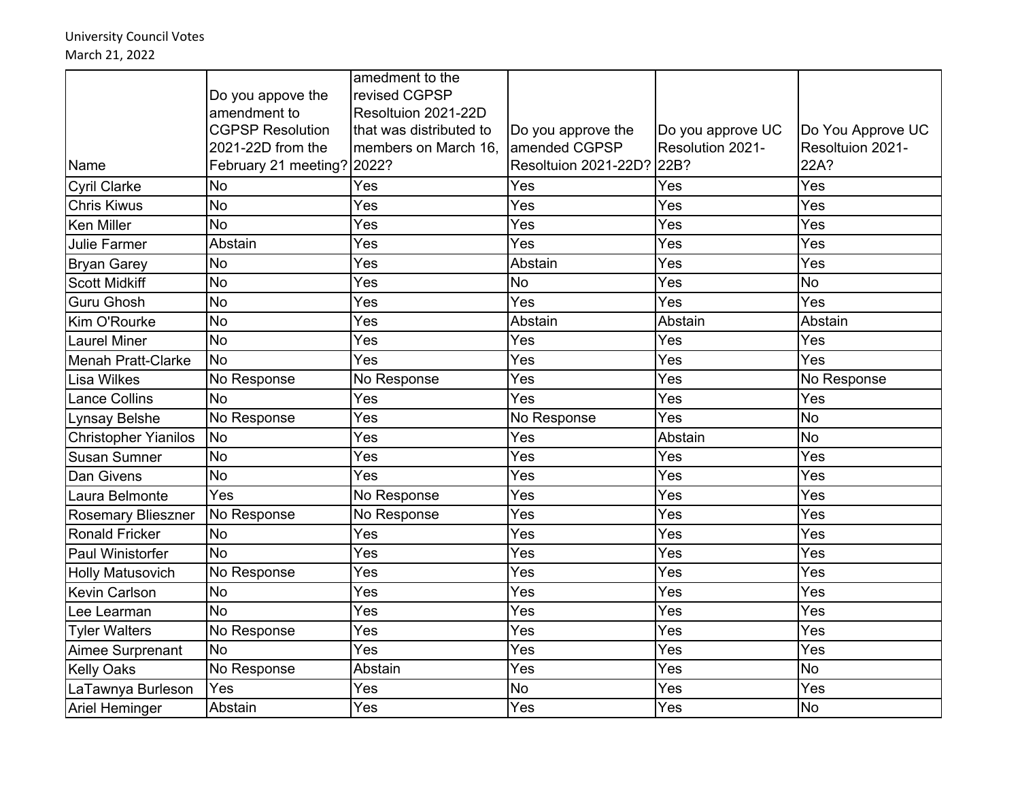University Council Votes March 21, 2022

|                             |                            | amedment to the         |                           |                   |                   |
|-----------------------------|----------------------------|-------------------------|---------------------------|-------------------|-------------------|
|                             | Do you appove the          | revised CGPSP           |                           |                   |                   |
|                             | amendment to               | Resoltuion 2021-22D     |                           |                   |                   |
|                             | <b>CGPSP Resolution</b>    | that was distributed to | Do you approve the        | Do you approve UC | Do You Approve UC |
|                             | 2021-22D from the          | members on March 16,    | amended CGPSP             | Resolution 2021-  | Resoltuion 2021-  |
| Name                        | February 21 meeting? 2022? |                         | Resoltuion 2021-22D? 22B? |                   | 22A?              |
| <b>Cyril Clarke</b>         | <b>No</b>                  | Yes                     | Yes                       | Yes               | Yes               |
| <b>Chris Kiwus</b>          | <b>No</b>                  | Yes                     | Yes                       | Yes               | Yes               |
| <b>Ken Miller</b>           | No                         | Yes                     | Yes                       | Yes               | Yes               |
| <b>Julie Farmer</b>         | Abstain                    | Yes                     | Yes                       | Yes               | Yes               |
| <b>Bryan Garey</b>          | No                         | Yes                     | Abstain                   | Yes               | Yes               |
| <b>Scott Midkiff</b>        | <b>No</b>                  | Yes                     | <b>No</b>                 | Yes               | <b>No</b>         |
| <b>Guru Ghosh</b>           | <b>No</b>                  | Yes                     | Yes                       | Yes               | Yes               |
| Kim O'Rourke                | <b>No</b>                  | Yes                     | Abstain                   | Abstain           | Abstain           |
| <b>Laurel Miner</b>         | No                         | Yes                     | Yes                       | Yes               | Yes               |
| Menah Pratt-Clarke          | <b>No</b>                  | Yes                     | Yes                       | Yes               | Yes               |
| <b>Lisa Wilkes</b>          | No Response                | No Response             | Yes                       | Yes               | No Response       |
| <b>Lance Collins</b>        | No                         | Yes                     | Yes                       | Yes               | Yes               |
| Lynsay Belshe               | No Response                | Yes                     | No Response               | Yes               | <b>No</b>         |
| <b>Christopher Yianilos</b> | <b>No</b>                  | Yes                     | Yes                       | Abstain           | <b>No</b>         |
| <b>Susan Sumner</b>         | <b>No</b>                  | Yes                     | Yes                       | Yes               | Yes               |
| Dan Givens                  | <b>No</b>                  | Yes                     | Yes                       | Yes               | Yes               |
| Laura Belmonte              | Yes                        | No Response             | Yes                       | Yes               | Yes               |
| <b>Rosemary Blieszner</b>   | No Response                | No Response             | Yes                       | Yes               | Yes               |
| <b>Ronald Fricker</b>       | <b>No</b>                  | Yes                     | Yes                       | Yes               | Yes               |
| Paul Winistorfer            | No                         | Yes                     | Yes                       | Yes               | Yes               |
| <b>Holly Matusovich</b>     | No Response                | Yes                     | Yes                       | Yes               | Yes               |
| Kevin Carlson               | <b>No</b>                  | Yes                     | Yes                       | Yes               | Yes               |
| Lee Learman                 | <b>No</b>                  | Yes                     | Yes                       | Yes               | Yes               |
| <b>Tyler Walters</b>        | No Response                | Yes                     | Yes                       | Yes               | Yes               |
| Aimee Surprenant            | <b>No</b>                  | Yes                     | Yes                       | Yes               | Yes               |
| <b>Kelly Oaks</b>           | No Response                | Abstain                 | Yes                       | Yes               | <b>No</b>         |
| LaTawnya Burleson           | Yes                        | Yes                     | <b>No</b>                 | Yes               | Yes               |
| <b>Ariel Heminger</b>       | Abstain                    | Yes                     | Yes                       | Yes               | <b>No</b>         |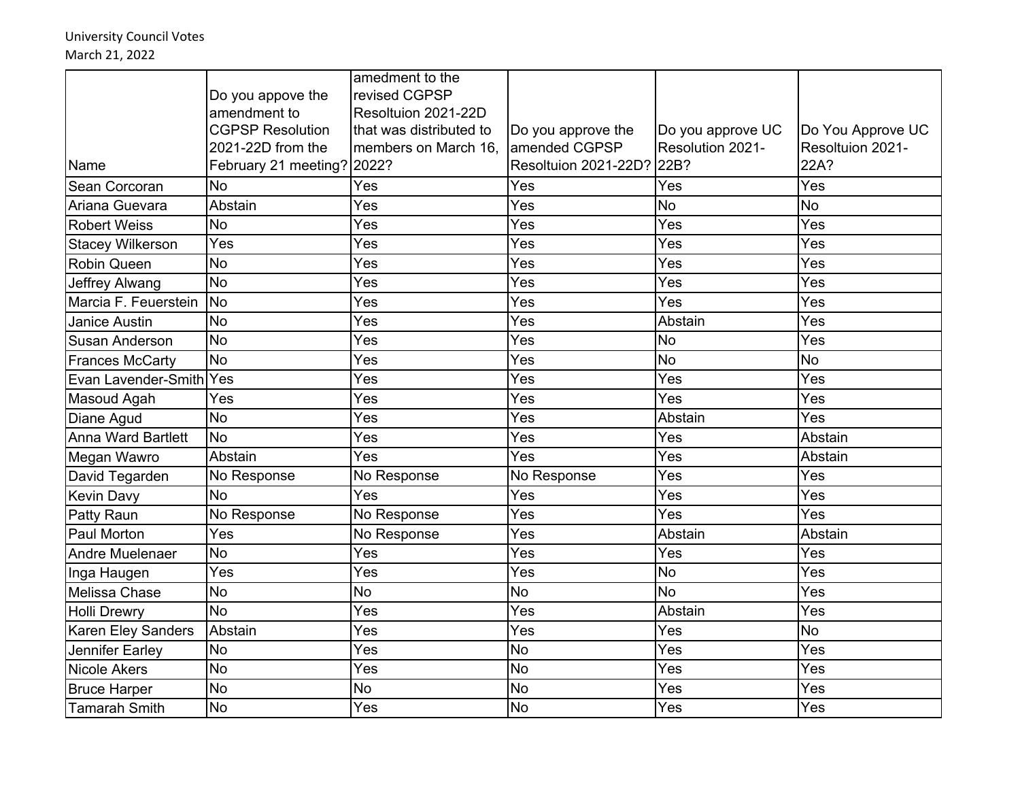University Council Votes March 21, 2022

|                           |                            | amedment to the         |                           |                   |                   |
|---------------------------|----------------------------|-------------------------|---------------------------|-------------------|-------------------|
|                           | Do you appove the          | revised CGPSP           |                           |                   |                   |
|                           | amendment to               | Resoltuion 2021-22D     |                           |                   |                   |
|                           | <b>CGPSP Resolution</b>    | that was distributed to | Do you approve the        | Do you approve UC | Do You Approve UC |
|                           | 2021-22D from the          | members on March 16,    | amended CGPSP             | Resolution 2021-  | Resoltuion 2021-  |
| Name                      | February 21 meeting? 2022? |                         | Resoltuion 2021-22D? 22B? |                   | 22A?              |
| Sean Corcoran             | <b>No</b>                  | Yes                     | Yes                       | Yes               | Yes               |
| Ariana Guevara            | Abstain                    | Yes                     | Yes                       | <b>No</b>         | <b>No</b>         |
| <b>Robert Weiss</b>       | <b>No</b>                  | Yes                     | Yes                       | Yes               | Yes               |
| <b>Stacey Wilkerson</b>   | Yes                        | Yes                     | Yes                       | Yes               | Yes               |
| <b>Robin Queen</b>        | <b>No</b>                  | Yes                     | Yes                       | Yes               | Yes               |
| Jeffrey Alwang            | <b>No</b>                  | Yes                     | Yes                       | Yes               | Yes               |
| Marcia F. Feuerstein      | <b>No</b>                  | Yes                     | Yes                       | Yes               | Yes               |
| <b>Janice Austin</b>      | No                         | Yes                     | Yes                       | Abstain           | Yes               |
| <b>Susan Anderson</b>     | No                         | Yes                     | Yes                       | <b>No</b>         | Yes               |
| <b>Frances McCarty</b>    | <b>No</b>                  | Yes                     | Yes                       | <b>No</b>         | <b>No</b>         |
| Evan Lavender-Smith Yes   |                            | Yes                     | Yes                       | Yes               | Yes               |
| Masoud Agah               | Yes                        | Yes                     | Yes                       | Yes               | Yes               |
| Diane Agud                | No                         | Yes                     | Yes                       | Abstain           | Yes               |
| Anna Ward Bartlett        | <b>No</b>                  | Yes                     | Yes                       | Yes               | Abstain           |
| Megan Wawro               | Abstain                    | Yes                     | Yes                       | Yes               | Abstain           |
| David Tegarden            | No Response                | No Response             | No Response               | Yes               | Yes               |
| <b>Kevin Davy</b>         | No                         | Yes                     | Yes                       | Yes               | Yes               |
| Patty Raun                | No Response                | No Response             | Yes                       | Yes               | Yes               |
| Paul Morton               | Yes                        | No Response             | Yes                       | Abstain           | Abstain           |
| <b>Andre Muelenaer</b>    | No                         | Yes                     | Yes                       | Yes               | Yes               |
| Inga Haugen               | Yes                        | Yes                     | Yes                       | <b>No</b>         | Yes               |
| Melissa Chase             | No                         | No                      | <b>No</b>                 | <b>No</b>         | Yes               |
| <b>Holli Drewry</b>       | <b>No</b>                  | Yes                     | Yes                       | Abstain           | Yes               |
| <b>Karen Eley Sanders</b> | Abstain                    | Yes                     | Yes                       | Yes               | <b>No</b>         |
| Jennifer Earley           | <b>No</b>                  | Yes                     | <b>No</b>                 | Yes               | Yes               |
| <b>Nicole Akers</b>       | <b>No</b>                  | Yes                     | <b>No</b>                 | Yes               | Yes               |
| <b>Bruce Harper</b>       | No                         | No                      | <b>No</b>                 | Yes               | Yes               |
| <b>Tamarah Smith</b>      | No                         | Yes                     | <b>No</b>                 | Yes               | Yes               |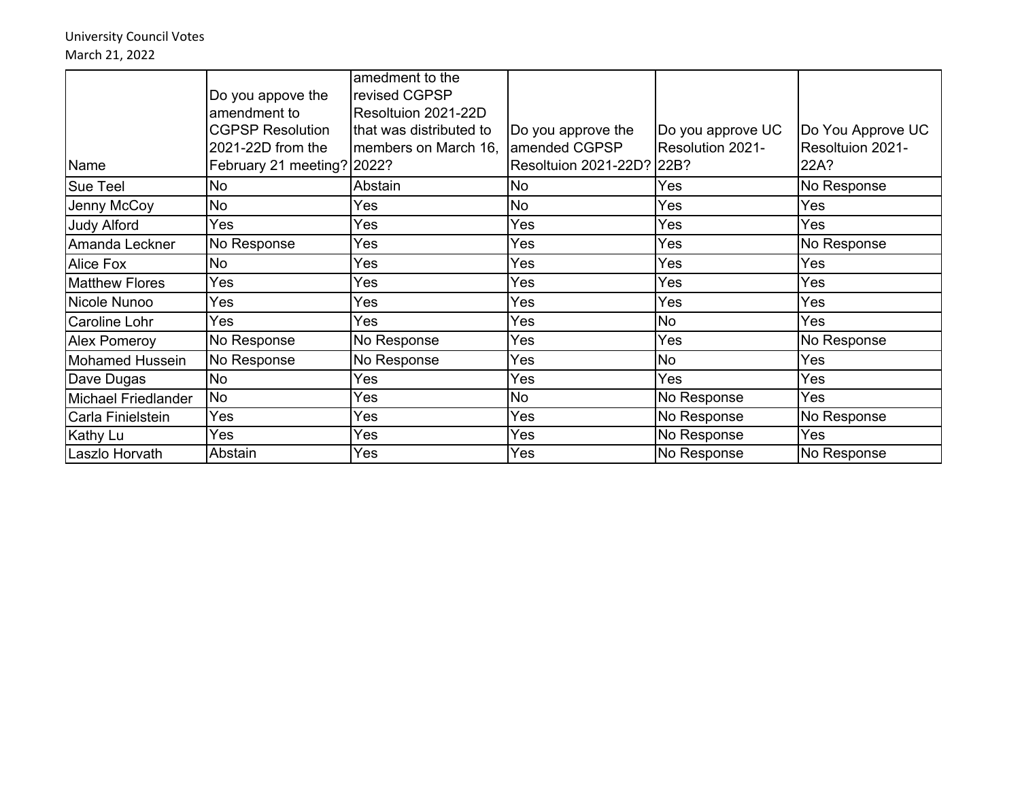University Council Votes March 21, 2022

|                        | Do you appove the          | amedment to the<br>revised CGPSP |                           |                   |                   |
|------------------------|----------------------------|----------------------------------|---------------------------|-------------------|-------------------|
|                        | amendment to               | Resoltuion 2021-22D              |                           |                   |                   |
|                        | <b>CGPSP Resolution</b>    | that was distributed to          | Do you approve the        | Do you approve UC | Do You Approve UC |
|                        | 2021-22D from the          | members on March 16,             | amended CGPSP             | Resolution 2021-  | Resoltuion 2021-  |
| Name                   | February 21 meeting? 2022? |                                  | Resoltuion 2021-22D? 22B? |                   | 22A?              |
| <b>Sue Teel</b>        | No                         | Abstain                          | No                        | Yes               | No Response       |
| Jenny McCoy            | <b>No</b>                  | Yes                              | <b>No</b>                 | Yes               | Yes               |
| <b>Judy Alford</b>     | Yes                        | Yes                              | Yes                       | Yes               | Yes               |
| Amanda Leckner         | No Response                | Yes                              | Yes                       | Yes               | No Response       |
| <b>Alice Fox</b>       | <b>No</b>                  | Yes                              | Yes                       | Yes               | Yes               |
| <b>Matthew Flores</b>  | Yes                        | Yes                              | Yes                       | Yes               | Yes               |
| Nicole Nunoo           | Yes                        | Yes                              | Yes                       | Yes               | Yes               |
| <b>Caroline Lohr</b>   | Yes                        | Yes                              | Yes                       | <b>No</b>         | Yes               |
| <b>Alex Pomeroy</b>    | No Response                | No Response                      | Yes                       | Yes               | No Response       |
| <b>Mohamed Hussein</b> | No Response                | No Response                      | Yes                       | No                | Yes               |
| Dave Dugas             | No                         | Yes                              | Yes                       | Yes               | Yes               |
| Michael Friedlander    | <b>No</b>                  | Yes                              | No                        | No Response       | Yes               |
| Carla Finielstein      | Yes                        | Yes                              | Yes                       | No Response       | No Response       |
| Kathy Lu               | Yes                        | Yes                              | Yes                       | No Response       | Yes               |
| Laszlo Horvath         | Abstain                    | Yes                              | Yes                       | No Response       | No Response       |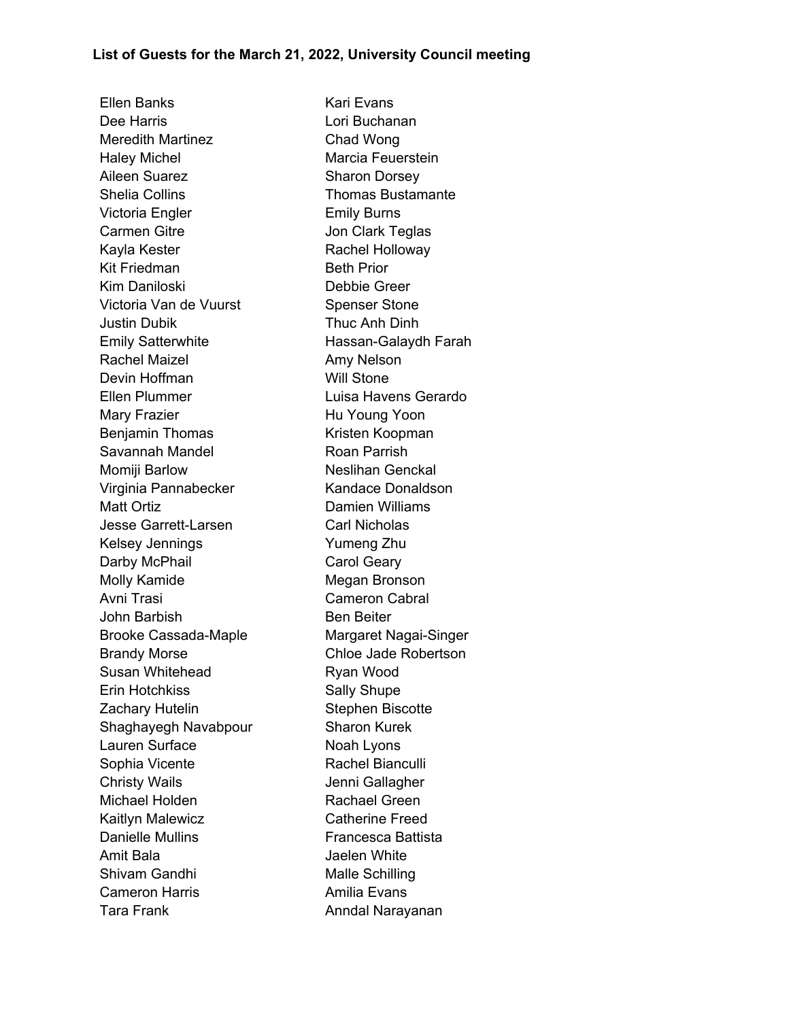Ellen Banks Kari Evans Dee Harris **Lori Buchanan** Meredith Martinez Chad Wong Haley Michel **Marcia Feuerstein** Aileen Suarez Sharon Dorsey Shelia Collins **Thomas Bustamante** Victoria Engler **Emily Burns** Carmen Gitre **Carmen Gitte** Jon Clark Teglas Kayla Kester **Rachel Holloway** Kit Friedman Beth Prior Kim Daniloski **Debbie Greer** Victoria Van de Vuurst Spenser Stone Justin Dubik Thuc Anh Dinh Emily Satterwhite **Hassan-Galaydh Farah** Rachel Maizel **Amy Nelson** Devin Hoffman Will Stone Ellen Plummer Luisa Havens Gerardo Mary Frazier **Hu Young Yoon** Benjamin Thomas Kristen Koopman Savannah Mandel **Roan Parrish** Momiji Barlow Neslihan Genckal Virginia Pannabecker Kandace Donaldson Matt Ortiz **Damien Williams** Jesse Garrett-Larsen Carl Nicholas Kelsey Jennings The Tennis Yumeng Zhu Darby McPhail Carol Geary Molly Kamide **Megan Bronson** Avni Trasi Cameron Cabral John Barbish Ben Beiter Brooke Cassada-Maple Margaret Nagai-Singer Brandy Morse **Chloe Jade Robertson** Susan Whitehead Ryan Wood Erin Hotchkiss Sally Shupe Zachary Hutelin Stephen Biscotte Shaghayegh Navabpour Sharon Kurek Lauren Surface Noah Lyons Sophia Vicente **Rachel Bianculli** Christy Wails **Christy Wails** Jenni Gallagher Michael Holden **Rachael Green** Kaitlyn Malewicz **Catherine Freed** Danielle Mullins **Example 2** Francesca Battista Amit Bala Jaelen White Shivam Gandhi Malle Schilling Cameron Harris **Amilia Evans** Tara Frank **Anndal Narayanan**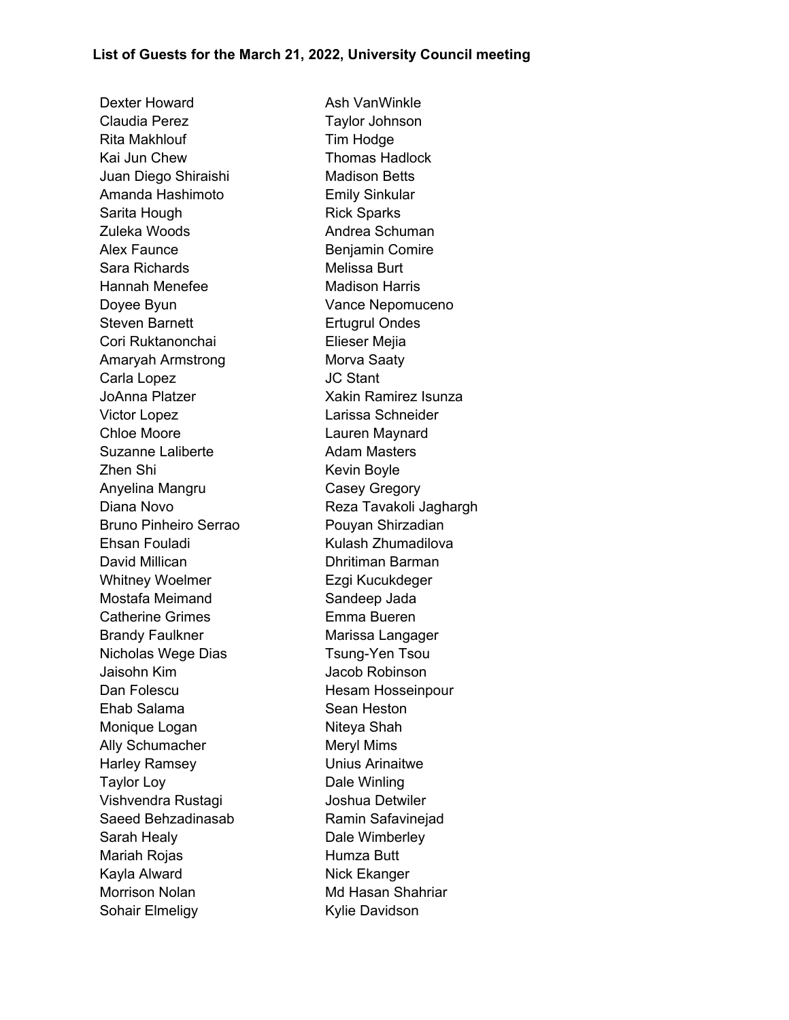Dexter Howard **Ash VanWinkle** Claudia Perez Taylor Johnson Rita Makhlouf Tim Hodge Kai Jun Chew **Thomas Hadlock** Juan Diego Shiraishi Madison Betts Amanda Hashimoto Emily Sinkular Sarita Hough Rick Sparks Zuleka Woods **Andrea Schuman** Alex Faunce **Benjamin Comire** Sara Richards Melissa Burt Hannah Menefee Madison Harris Doyee Byun Vance Nepomuceno Steven Barnett **Ertugrul Ondes** Cori Ruktanonchai **Elieser Mejia** Amaryah Armstrong Morva Saaty Carla Lopez JC Stant JoAnna Platzer **Xakin Ramirez Isunza** Victor Lopez Larissa Schneider Chloe Moore Lauren Maynard Suzanne Laliberte **Adam Masters** Zhen Shi **Kevin Boyle** Anyelina Mangru Casey Gregory Diana Novo **Reza Tavakoli Jaghargh** Bruno Pinheiro Serrao **Pouyan Shirzadian** Ehsan Fouladi **Kulash Zhumadilova** David Millican **Dhritiman Barman** Whitney Woelmer **Ezgi Kucukdeger** Mostafa Meimand Sandeep Jada Catherine Grimes Emma Bueren Brandy Faulkner Marissa Langager Nicholas Wege Dias Tsung-Yen Tsou Jaisohn Kim Jacob Robinson Dan Folescu Hesam Hosseinpour Ehab Salama Sean Heston Monique Logan Niteya Shah Ally Schumacher Meryl Mims Harley Ramsey Unius Arinaitwe Taylor Loy **Dale Winling** Vishvendra Rustagi Joshua Detwiler Saeed Behzadinasab Ramin Safavinejad Sarah Healy **Dale Wimberley** Mariah Rojas **Mariah Rojas** Humza Butt Kayla Alward Nick Ekanger Morrison Nolan Md Hasan Shahriar Sohair Elmeligy **Kylie Davidson**